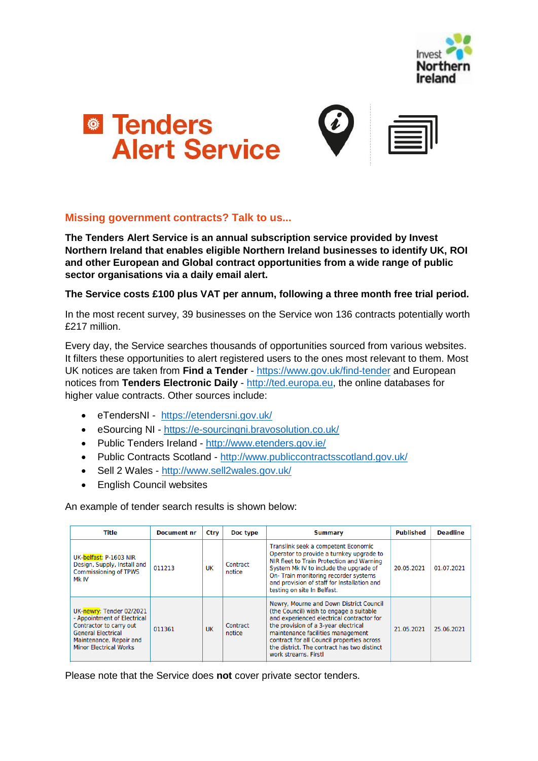



### **Missing government contracts? Talk to us...**

**The Tenders Alert Service is an annual subscription service provided by Invest Northern Ireland that enables eligible Northern Ireland businesses to identify UK, ROI and other European and Global contract opportunities from a wide range of public sector organisations via a daily email alert.** 

### **The Service costs £100 plus VAT per annum, following a three month free trial period.**

In the most recent survey, 39 businesses on the Service won 136 contracts potentially worth £217 million.

Every day, the Service searches thousands of opportunities sourced from various websites. It filters these opportunities to alert registered users to the ones most relevant to them. Most UK notices are taken from **Find a Tender** - <https://www.gov.uk/find-tender> and European notices from **Tenders Electronic Daily** - [http://ted.europa.eu,](http://ted.europa.eu/) the online databases for higher value contracts. Other sources include:

- eTendersNI <https://etendersni.gov.uk/>
- eSourcing NI <https://e-sourcingni.bravosolution.co.uk/>
- Public Tenders Ireland <http://www.etenders.gov.ie/>
- Public Contracts Scotland <http://www.publiccontractsscotland.gov.uk/>
- Sell 2 Wales <http://www.sell2wales.gov.uk/>
- English Council websites

An example of tender search results is shown below:

| Title                                                                                                                                                                       | <b>Document nr</b> | Ctry | Doc type           | <b>Summary</b>                                                                                                                                                                                                                                                                                                                    | <b>Published</b> | <b>Deadline</b> |
|-----------------------------------------------------------------------------------------------------------------------------------------------------------------------------|--------------------|------|--------------------|-----------------------------------------------------------------------------------------------------------------------------------------------------------------------------------------------------------------------------------------------------------------------------------------------------------------------------------|------------------|-----------------|
| UK-belfast: P-1603 NIR<br>Design, Supply, Install and<br><b>Commissioning of TPWS</b><br>Mk IV                                                                              | 011213             | UK   | Contract<br>notice | Translink seek a competent Economic<br>Operator to provide a turnkey upgrade to<br>NIR fleet to Train Protection and Warning<br>System Mk IV to include the upgrade of<br>On-Train monitoring recorder systems<br>and provision of staff for Installation and<br>testing on site In Belfast.                                      | 20.05.2021       | 01.07.2021      |
| UK-newry: Tender 02/2021<br>- Appointment of Electrical<br>Contractor to carry out<br><b>General Electrical</b><br>Maintenance, Repair and<br><b>Minor Electrical Works</b> | 011361             | UK   | Contract<br>notice | Newry, Mourne and Down District Council<br>(the Council) wish to engage a suitable<br>and experienced electrical contractor for<br>the provision of a 3-year electrical<br>maintenance facilities management<br>contract for all Council properties across<br>the district. The contract has two distinct<br>work streams. Firstl | 21.05.2021       | 25.06.2021      |

Please note that the Service does **not** cover private sector tenders.